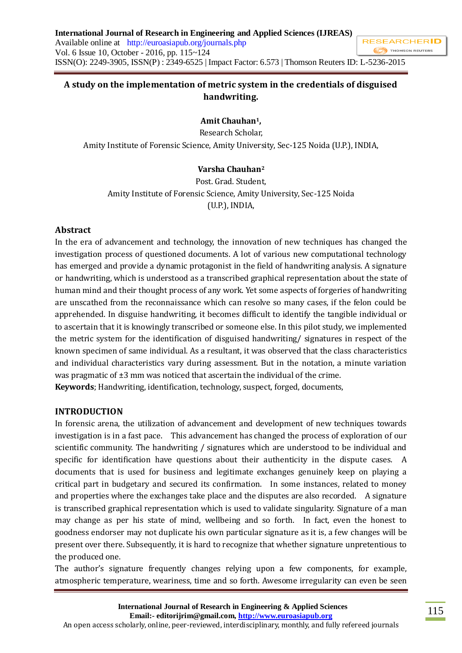### **A study on the implementation of metric system in the credentials of disguised handwriting.**

# **Amit Chauhan1,**

Research Scholar,

Amity Institute of Forensic Science, Amity University, Sec-125 Noida (U.P.), INDIA,

# **Varsha Chauhan<sup>2</sup>**

Post. Grad. Student, Amity Institute of Forensic Science, Amity University, Sec-125 Noida (U.P.), INDIA,

### **Abstract**

In the era of advancement and technology, the innovation of new techniques has changed the investigation process of questioned documents. A lot of various new computational technology has emerged and provide a dynamic protagonist in the field of handwriting analysis. A signature or handwriting, which is understood as a transcribed graphical representation about the state of human mind and their thought process of any work. Yet some aspects of forgeries of handwriting are unscathed from the reconnaissance which can resolve so many cases, if the felon could be apprehended. In disguise handwriting, it becomes difficult to identify the tangible individual or to ascertain that it is knowingly transcribed or someone else. In this pilot study, we implemented the metric system for the identification of disguised handwriting/ signatures in respect of the known specimen of same individual. As a resultant, it was observed that the class characteristics and individual characteristics vary during assessment. But in the notation, a minute variation was pragmatic of  $\pm 3$  mm was noticed that ascertain the individual of the crime.

**Keywords**; Handwriting, identification, technology, suspect, forged, documents,

### **INTRODUCTION**

In forensic arena, the utilization of advancement and development of new techniques towards investigation is in a fast pace. This advancement has changed the process of exploration of our scientific community. The handwriting / signatures which are understood to be individual and specific for identification have questions about their authenticity in the dispute cases. A documents that is used for business and legitimate exchanges genuinely keep on playing a critical part in budgetary and secured its confirmation. In some instances, related to money and properties where the exchanges take place and the disputes are also recorded. A signature is transcribed graphical representation which is used to validate singularity. Signature of a man may change as per his state of mind, wellbeing and so forth. In fact, even the honest to goodness endorser may not duplicate his own particular signature as it is, a few changes will be present over there. Subsequently, it is hard to recognize that whether signature unpretentious to the produced one.

The author's signature frequently changes relying upon a few components, for example, atmospheric temperature, weariness, time and so forth. Awesome irregularity can even be seen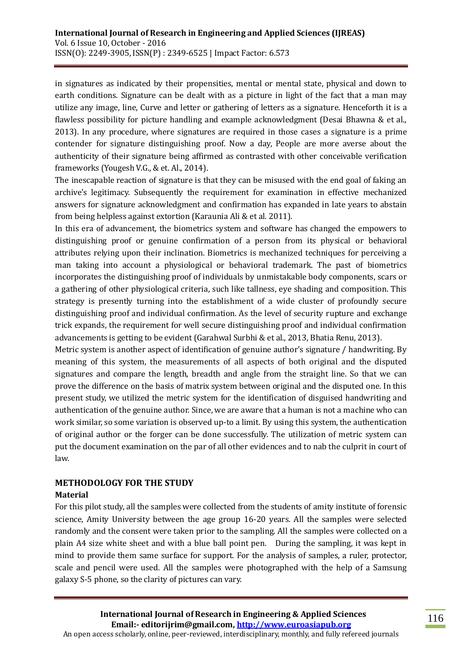in signatures as indicated by their propensities, mental or mental state, physical and down to earth conditions. Signature can be dealt with as a picture in light of the fact that a man may utilize any image, line, Curve and letter or gathering of letters as a signature. Henceforth it is a flawless possibility for picture handling and example acknowledgment (Desai Bhawna & et al., 2013). In any procedure, where signatures are required in those cases a signature is a prime contender for signature distinguishing proof. Now a day, People are more averse about the authenticity of their signature being affirmed as contrasted with other conceivable verification frameworks (Yougesh V.G., & et. Al., 2014).

The inescapable reaction of signature is that they can be misused with the end goal of faking an archive's legitimacy. Subsequently the requirement for examination in effective mechanized answers for signature acknowledgment and confirmation has expanded in late years to abstain from being helpless against extortion (Karaunia Ali & et al. 2011).

In this era of advancement, the biometrics system and software has changed the empowers to distinguishing proof or genuine confirmation of a person from its physical or behavioral attributes relying upon their inclination. Biometrics is mechanized techniques for perceiving a man taking into account a physiological or behavioral trademark. The past of biometrics incorporates the distinguishing proof of individuals by unmistakable body components, scars or a gathering of other physiological criteria, such like tallness, eye shading and composition. This strategy is presently turning into the establishment of a wide cluster of profoundly secure distinguishing proof and individual confirmation. As the level of security rupture and exchange trick expands, the requirement for well secure distinguishing proof and individual confirmation advancements is getting to be evident (Garahwal Surbhi & et al., 2013, Bhatia Renu, 2013).

Metric system is another aspect of identification of genuine author's signature / handwriting. By meaning of this system, the measurements of all aspects of both original and the disputed signatures and compare the length, breadth and angle from the straight line. So that we can prove the difference on the basis of matrix system between original and the disputed one. In this present study, we utilized the metric system for the identification of disguised handwriting and authentication of the genuine author. Since, we are aware that a human is not a machine who can work similar, so some variation is observed up-to a limit. By using this system, the authentication of original author or the forger can be done successfully. The utilization of metric system can put the document examination on the par of all other evidences and to nab the culprit in court of law.

# **METHODOLOGY FOR THE STUDY**

#### **Material**

For this pilot study, all the samples were collected from the students of amity institute of forensic science, Amity University between the age group 16-20 years. All the samples were selected randomly and the consent were taken prior to the sampling. All the samples were collected on a plain A4 size white sheet and with a blue ball point pen. During the sampling, it was kept in mind to provide them same surface for support. For the analysis of samples, a ruler, protector, scale and pencil were used. All the samples were photographed with the help of a Samsung galaxy S-5 phone, so the clarity of pictures can vary.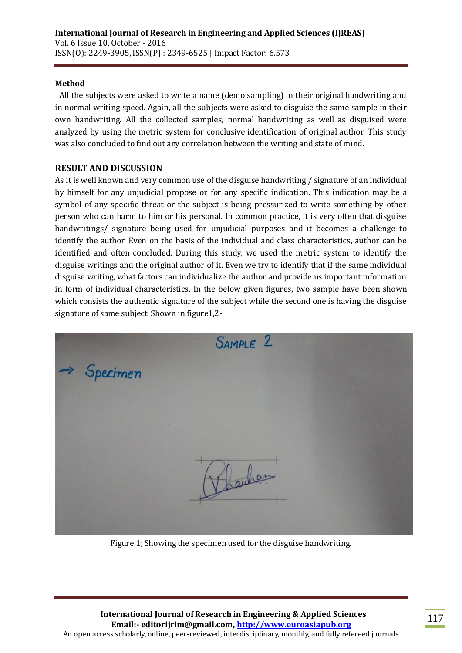#### **Method**

All the subjects were asked to write a name (demo sampling) in their original handwriting and in normal writing speed. Again, all the subjects were asked to disguise the same sample in their own handwriting. All the collected samples, normal handwriting as well as disguised were analyzed by using the metric system for conclusive identification of original author. This study was also concluded to find out any correlation between the writing and state of mind.

#### **RESULT AND DISCUSSION**

As it is well known and very common use of the disguise handwriting / signature of an individual by himself for any unjudicial propose or for any specific indication. This indication may be a symbol of any specific threat or the subject is being pressurized to write something by other person who can harm to him or his personal. In common practice, it is very often that disguise handwritings/ signature being used for unjudicial purposes and it becomes a challenge to identify the author. Even on the basis of the individual and class characteristics, author can be identified and often concluded. During this study, we used the metric system to identify the disguise writings and the original author of it. Even we try to identify that if the same individual disguise writing, what factors can individualize the author and provide us important information in form of individual characteristics. In the below given figures, two sample have been shown which consists the authentic signature of the subject while the second one is having the disguise signature of same subject. Shown in figure1,2-

|                        | SAMPLE 2 |  |
|------------------------|----------|--|
| $\Rightarrow$ Specimen |          |  |
|                        |          |  |
|                        |          |  |
|                        |          |  |
|                        | Pharham  |  |
|                        |          |  |

Figure 1; Showing the specimen used for the disguise handwriting.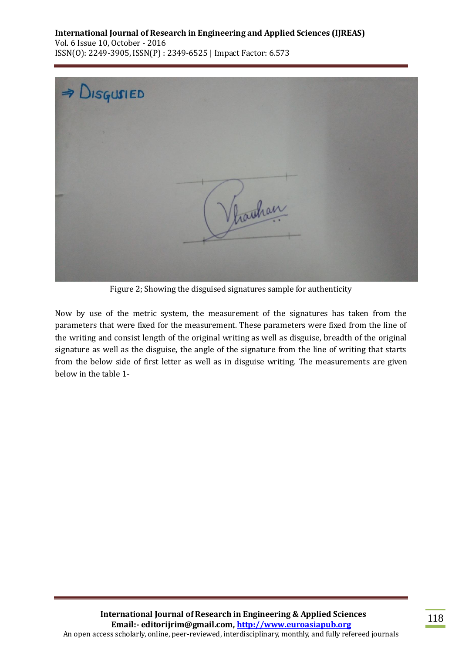

Figure 2; Showing the disguised signatures sample for authenticity

Now by use of the metric system, the measurement of the signatures has taken from the parameters that were fixed for the measurement. These parameters were fixed from the line of the writing and consist length of the original writing as well as disguise, breadth of the original signature as well as the disguise, the angle of the signature from the line of writing that starts from the below side of first letter as well as in disguise writing. The measurements are given below in the table 1-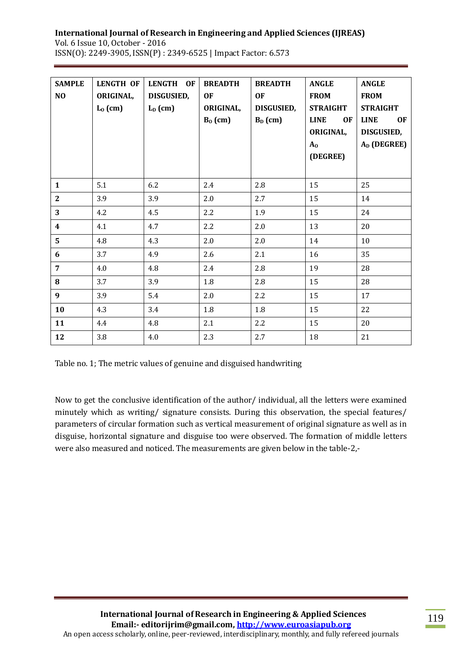| <b>SAMPLE</b><br>NO | <b>LENGTH OF</b><br>ORIGINAL,<br>$L_0$ (cm) | <b>LENGTH</b><br>OF<br>DISGUSIED,<br>$L_D$ (cm) | <b>BREADTH</b><br><b>OF</b><br>ORIGINAL,<br>$B_0$ (cm) | <b>BREADTH</b><br><b>OF</b><br><b>DISGUSIED,</b><br>$B_D$ (cm) | <b>ANGLE</b><br><b>FROM</b><br><b>STRAIGHT</b><br><b>LINE</b><br><b>OF</b><br>ORIGINAL,<br>$A_0$<br>(DEGREE) | <b>ANGLE</b><br><b>FROM</b><br><b>STRAIGHT</b><br><b>LINE</b><br><b>OF</b><br><b>DISGUSIED,</b><br>A <sub>D</sub> (DEGREE) |
|---------------------|---------------------------------------------|-------------------------------------------------|--------------------------------------------------------|----------------------------------------------------------------|--------------------------------------------------------------------------------------------------------------|----------------------------------------------------------------------------------------------------------------------------|
| $\mathbf{1}$        | 5.1                                         | 6.2                                             | 2.4                                                    | 2.8                                                            | 15                                                                                                           | 25                                                                                                                         |
| $\overline{2}$      | 3.9                                         | 3.9                                             | 2.0                                                    | 2.7                                                            | 15                                                                                                           | 14                                                                                                                         |
| 3                   | 4.2                                         | 4.5                                             | 2.2                                                    | 1.9                                                            | 15                                                                                                           | 24                                                                                                                         |
| $\boldsymbol{4}$    | 4.1                                         | 4.7                                             | 2.2                                                    | 2.0                                                            | 13                                                                                                           | 20                                                                                                                         |
| 5                   | 4.8                                         | 4.3                                             | 2.0                                                    | 2.0                                                            | 14                                                                                                           | 10                                                                                                                         |
| 6                   | 3.7                                         | 4.9                                             | 2.6                                                    | 2.1                                                            | 16                                                                                                           | 35                                                                                                                         |
| $\overline{7}$      | 4.0                                         | 4.8                                             | 2.4                                                    | 2.8                                                            | 19                                                                                                           | 28                                                                                                                         |
| 8                   | 3.7                                         | 3.9                                             | $1.8\,$                                                | 2.8                                                            | 15                                                                                                           | 28                                                                                                                         |
| 9                   | 3.9                                         | 5.4                                             | 2.0                                                    | 2.2                                                            | 15                                                                                                           | 17                                                                                                                         |
| 10                  | 4.3                                         | 3.4                                             | 1.8                                                    | 1.8                                                            | 15                                                                                                           | 22                                                                                                                         |
| 11                  | 4.4                                         | 4.8                                             | 2.1                                                    | 2.2                                                            | 15                                                                                                           | 20                                                                                                                         |
| 12                  | 3.8                                         | 4.0                                             | 2.3                                                    | 2.7                                                            | 18                                                                                                           | 21                                                                                                                         |

Table no. 1; The metric values of genuine and disguised handwriting

Now to get the conclusive identification of the author/ individual, all the letters were examined minutely which as writing/ signature consists. During this observation, the special features/ parameters of circular formation such as vertical measurement of original signature as well as in disguise, horizontal signature and disguise too were observed. The formation of middle letters were also measured and noticed. The measurements are given below in the table-2,-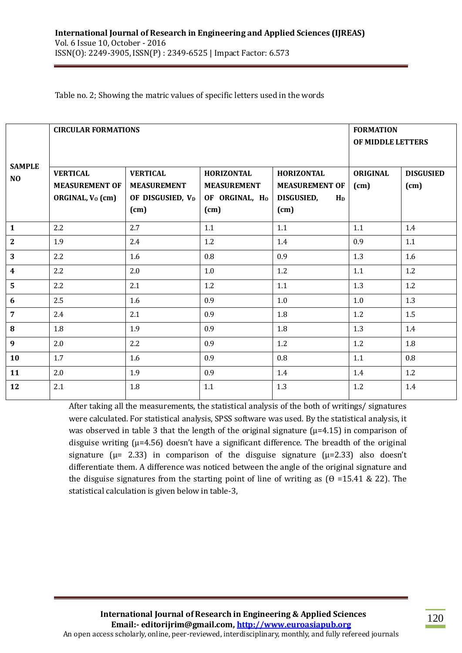Table no. 2; Showing the matric values of specific letters used in the words

|                     | <b>CIRCULAR FORMATIONS</b> | <b>FORMATION</b><br>OF MIDDLE LETTERS |                            |                       |                 |                  |
|---------------------|----------------------------|---------------------------------------|----------------------------|-----------------------|-----------------|------------------|
| <b>SAMPLE</b><br>NO | <b>VERTICAL</b>            | <b>VERTICAL</b>                       | <b>HORIZONTAL</b>          | <b>HORIZONTAL</b>     | <b>ORIGINAL</b> | <b>DISGUSIED</b> |
|                     | <b>MEASUREMENT OF</b>      | <b>MEASUREMENT</b>                    | <b>MEASUREMENT</b>         | <b>MEASUREMENT OF</b> | (cm)            | (cm)             |
|                     | ORGINAL, $V_0$ (cm)        | OF DISGUSIED, V <sub>D</sub>          | OF ORGINAL, H <sub>0</sub> | DISGUSIED,<br>$H_D$   |                 |                  |
|                     |                            | (cm)                                  | (cm)                       | (cm)                  |                 |                  |
| $\mathbf{1}$        | 2.2                        | 2.7                                   | 1.1                        | 1.1                   | 1.1             | 1.4              |
| $\mathbf{2}$        | 1.9                        | 2.4                                   | 1.2                        | 1.4                   | 0.9             | 1.1              |
| 3                   | 2.2                        | 1.6                                   | 0.8                        | 0.9                   | 1.3             | 1.6              |
| $\boldsymbol{4}$    | 2.2                        | 2.0                                   | $1.0\,$                    | $1.2\,$               | 1.1             | 1.2              |
| $5\overline{)}$     | 2.2                        | 2.1                                   | 1.2                        | 1.1                   | 1.3             | 1.2              |
| 6                   | 2.5                        | 1.6                                   | 0.9                        | $1.0\,$               | 1.0             | 1.3              |
| $\overline{7}$      | 2.4                        | 2.1                                   | 0.9                        | 1.8                   | 1.2             | 1.5              |
| 8                   | 1.8                        | 1.9                                   | 0.9                        | 1.8                   | 1.3             | 1.4              |
| $\boldsymbol{9}$    | 2.0                        | 2.2                                   | 0.9                        | 1.2                   | 1.2             | 1.8              |
| 10                  | 1.7                        | 1.6                                   | 0.9                        | 0.8                   | 1.1             | $0.8\,$          |
| 11                  | 2.0                        | 1.9                                   | 0.9                        | 1.4                   | 1.4             | 1.2              |
| 12                  | 2.1                        | 1.8                                   | 1.1                        | 1.3                   | 1.2             | 1.4              |

After taking all the measurements, the statistical analysis of the both of writings/ signatures were calculated. For statistical analysis, SPSS software was used. By the statistical analysis, it was observed in table 3 that the length of the original signature ( $\mu$ =4.15) in comparison of disguise writing  $(\mu=4.56)$  doesn't have a significant difference. The breadth of the original signature ( $\mu$  = 2.33) in comparison of the disguise signature ( $\mu$ =2.33) also doesn't differentiate them. A difference was noticed between the angle of the original signature and the disguise signatures from the starting point of line of writing as  $(\theta = 15.41 \& 22)$ . The statistical calculation is given below in table-3,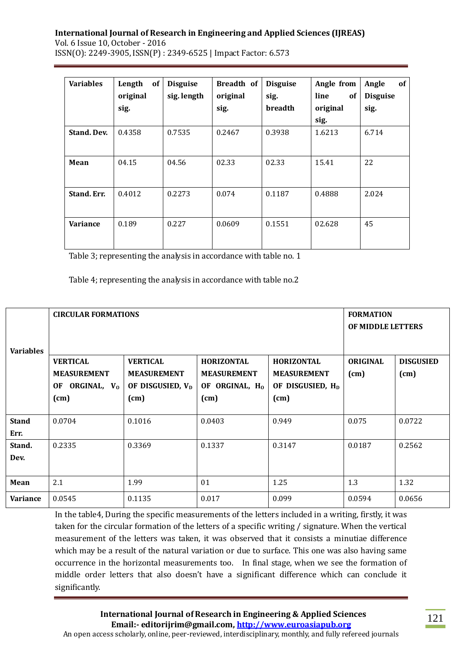| <b>Variables</b>   | of<br>Length<br>original<br>sig. | <b>Disguise</b><br>sig. length | Breadth of<br>original<br>sig. | <b>Disguise</b><br>sig.<br><b>breadth</b> | Angle from<br>line<br>0f<br>original | of<br>Angle<br><b>Disguise</b><br>sig. |
|--------------------|----------------------------------|--------------------------------|--------------------------------|-------------------------------------------|--------------------------------------|----------------------------------------|
|                    |                                  |                                |                                |                                           | sig.                                 |                                        |
| <b>Stand, Dev.</b> | 0.4358                           | 0.7535                         | 0.2467                         | 0.3938                                    | 1.6213                               | 6.714                                  |
| Mean               | 04.15                            | 04.56                          | 02.33                          | 02.33                                     | 15.41                                | 22                                     |
| Stand. Err.        | 0.4012                           | 0.2273                         | 0.074                          | 0.1187                                    | 0.4888                               | 2.024                                  |
| <b>Variance</b>    | 0.189                            | 0.227                          | 0.0609                         | 0.1551                                    | 02.628                               | 45                                     |

Table 3; representing the analysis in accordance with table no. 1

Table 4; representing the analysis in accordance with table no.2

| <b>Variables</b>     | <b>CIRCULAR FORMATIONS</b>                                                     | <b>FORMATION</b><br>OF MIDDLE LETTERS                                         |                                                                               |                                                                                 |                         |                          |
|----------------------|--------------------------------------------------------------------------------|-------------------------------------------------------------------------------|-------------------------------------------------------------------------------|---------------------------------------------------------------------------------|-------------------------|--------------------------|
|                      | <b>VERTICAL</b><br><b>MEASUREMENT</b><br>ORGINAL, V <sub>0</sub><br>OF<br>(cm) | <b>VERTICAL</b><br><b>MEASUREMENT</b><br>OF DISGUSIED, V <sub>D</sub><br>(cm) | <b>HORIZONTAL</b><br><b>MEASUREMENT</b><br>OF ORGINAL, H <sub>0</sub><br>(cm) | <b>HORIZONTAL</b><br><b>MEASUREMENT</b><br>OF DISGUSIED, H <sub>D</sub><br>(cm) | <b>ORIGINAL</b><br>(cm) | <b>DISGUSIED</b><br>(cm) |
| <b>Stand</b><br>Err. | 0.0704                                                                         | 0.1016                                                                        | 0.0403                                                                        | 0.949                                                                           | 0.075                   | 0.0722                   |
| Stand.<br>Dev.       | 0.2335                                                                         | 0.3369                                                                        | 0.1337                                                                        | 0.3147                                                                          | 0.0187                  | 0.2562                   |
| Mean                 | 2.1                                                                            | 1.99                                                                          | 01                                                                            | 1.25                                                                            | 1.3                     | 1.32                     |
| <b>Variance</b>      | 0.0545                                                                         | 0.1135                                                                        | 0.017                                                                         | 0.099                                                                           | 0.0594                  | 0.0656                   |

In the table4, During the specific measurements of the letters included in a writing, firstly, it was taken for the circular formation of the letters of a specific writing / signature. When the vertical measurement of the letters was taken, it was observed that it consists a minutiae difference which may be a result of the natural variation or due to surface. This one was also having same occurrence in the horizontal measurements too. In final stage, when we see the formation of middle order letters that also doesn't have a significant difference which can conclude it significantly.

**International Journal of Research in Engineering & Applied Sciences Email:- editorijrim@gmail.com, http://www.euroasiapub.org** An open access scholarly, online, peer-reviewed, interdisciplinary, monthly, and fully refereed journals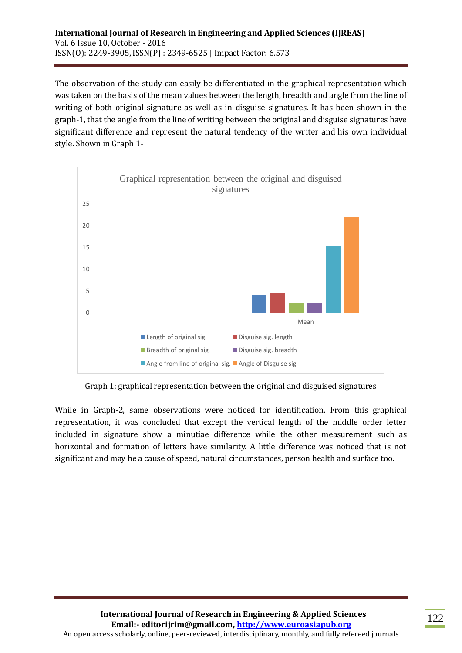The observation of the study can easily be differentiated in the graphical representation which was taken on the basis of the mean values between the length, breadth and angle from the line of writing of both original signature as well as in disguise signatures. It has been shown in the graph-1, that the angle from the line of writing between the original and disguise signatures have significant difference and represent the natural tendency of the writer and his own individual style. Shown in Graph 1-



Graph 1; graphical representation between the original and disguised signatures

While in Graph-2, same observations were noticed for identification. From this graphical representation, it was concluded that except the vertical length of the middle order letter included in signature show a minutiae difference while the other measurement such as horizontal and formation of letters have similarity. A little difference was noticed that is not significant and may be a cause of speed, natural circumstances, person health and surface too.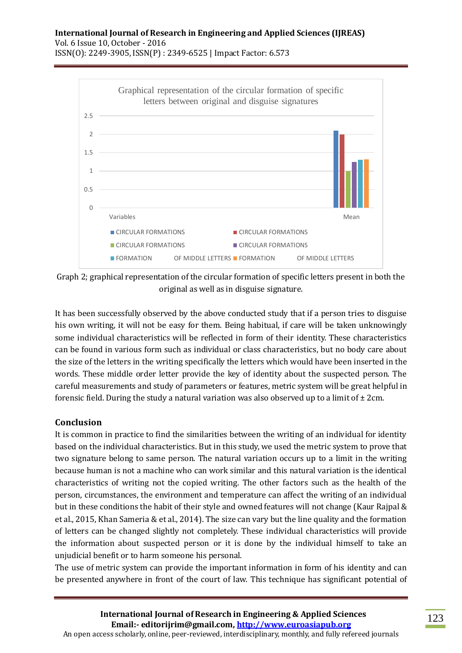

Graph 2; graphical representation of the circular formation of specific letters present in both the original as well as in disguise signature.

It has been successfully observed by the above conducted study that if a person tries to disguise his own writing, it will not be easy for them. Being habitual, if care will be taken unknowingly some individual characteristics will be reflected in form of their identity. These characteristics can be found in various form such as individual or class characteristics, but no body care about the size of the letters in the writing specifically the letters which would have been inserted in the words. These middle order letter provide the key of identity about the suspected person. The careful measurements and study of parameters or features, metric system will be great helpful in forensic field. During the study a natural variation was also observed up to a limit of  $\pm$  2cm.

### **Conclusion**

It is common in practice to find the similarities between the writing of an individual for identity based on the individual characteristics. But in this study, we used the metric system to prove that two signature belong to same person. The natural variation occurs up to a limit in the writing because human is not a machine who can work similar and this natural variation is the identical characteristics of writing not the copied writing. The other factors such as the health of the person, circumstances, the environment and temperature can affect the writing of an individual but in these conditions the habit of their style and owned features will not change (Kaur Rajpal & et al., 2015, Khan Sameria & et al., 2014). The size can vary but the line quality and the formation of letters can be changed slightly not completely. These individual characteristics will provide the information about suspected person or it is done by the individual himself to take an unjudicial benefit or to harm someone his personal.

The use of metric system can provide the important information in form of his identity and can be presented anywhere in front of the court of law. This technique has significant potential of